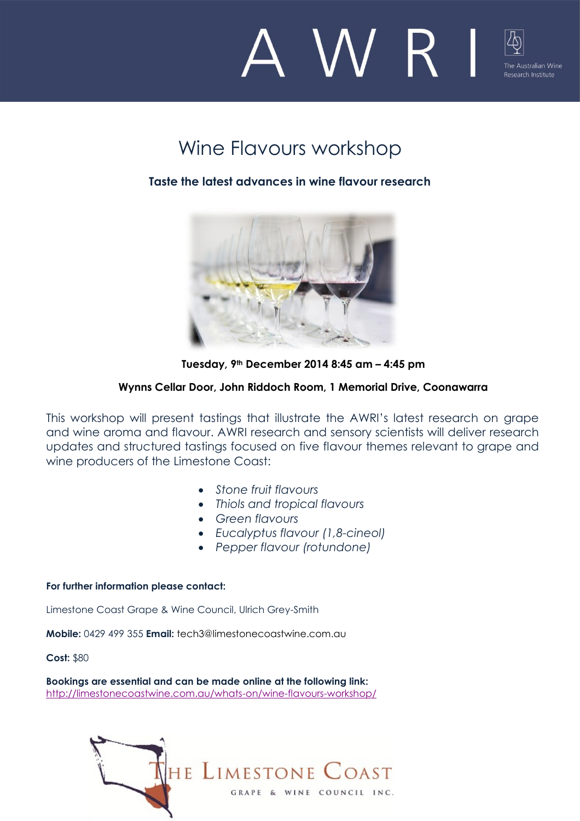

# Wine Flavours workshop

## **Taste the latest advances in wine flavour research**



**Tuesday, 9th December 2014 8:45 am – 4:45 pm**

### **Wynns Cellar Door, John Riddoch Room, 1 Memorial Drive, Coonawarra**

This workshop will present tastings that illustrate the AWRI's latest research on grape and wine aroma and flavour. AWRI research and sensory scientists will deliver research updates and structured tastings focused on five flavour themes relevant to grape and wine producers of the Limestone Coast:

- *Stone fruit flavours*
- *Thiols and tropical flavours*
- *Green flavours*
- *Eucalyptus flavour (1,8-cineol)*
- *Pepper flavour (rotundone)*

#### **For further information please contact:**

Limestone Coast Grape & Wine Council, Ulrich Grey-Smith

**Mobile:** 0429 499 355 **Email:** [tech3@limestonecoastwine.com.au](mailto:tech3@limestonecoastwine.com.au)

**Cost:** \$80

**Bookings are essential and can be made online at the following link:**  <http://limestonecoastwine.com.au/whats-on/wine-flavours-workshop/>